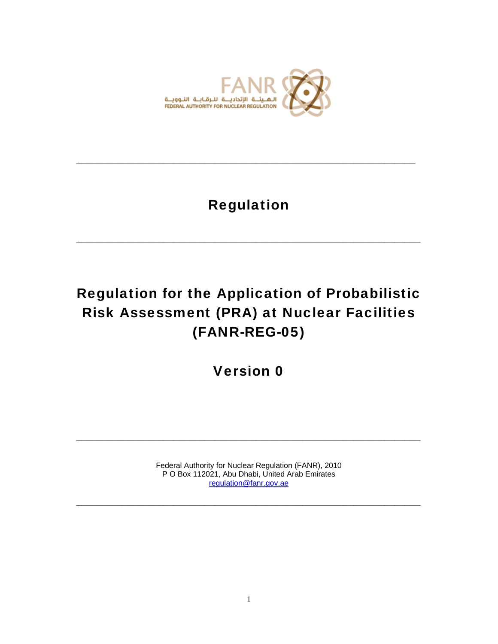

# Regulation

**\_\_\_\_\_\_\_\_\_\_\_\_\_\_\_\_\_\_\_\_\_\_\_\_\_\_\_\_\_\_\_\_\_\_\_\_\_\_\_\_\_\_\_\_\_\_\_\_\_\_\_\_\_\_\_\_\_\_\_\_\_\_\_\_\_\_\_** 

**\_\_\_\_\_\_\_\_\_\_\_\_\_\_\_\_\_\_\_\_\_\_\_\_\_\_\_\_\_\_\_\_\_\_\_\_\_\_\_\_\_\_\_\_\_\_\_\_\_\_\_\_\_\_\_\_\_\_\_\_\_\_\_\_\_\_** 

# Regulation for the Application of Probabilistic Risk Assessment (PRA) at Nuclear Facilities (FANR-REG-05)

# Version 0

Federal Authority for Nuclear Regulation (FANR), 2010 P O Box 112021, Abu Dhabi, United Arab Emirates regulation@fanr.gov.ae

**\_\_\_\_\_\_\_\_\_\_\_\_\_\_\_\_\_\_\_\_\_\_\_\_\_\_\_\_\_\_\_\_\_\_\_\_\_\_\_\_\_\_\_\_\_\_\_\_\_\_\_\_\_\_\_\_\_\_\_\_\_\_\_\_\_\_\_** 

**\_\_\_\_\_\_\_\_\_\_\_\_\_\_\_\_\_\_\_\_\_\_\_\_\_\_\_\_\_\_\_\_\_\_\_\_\_\_\_\_\_\_\_\_\_\_\_\_\_\_\_\_\_\_\_\_\_\_\_\_\_\_\_\_\_\_\_**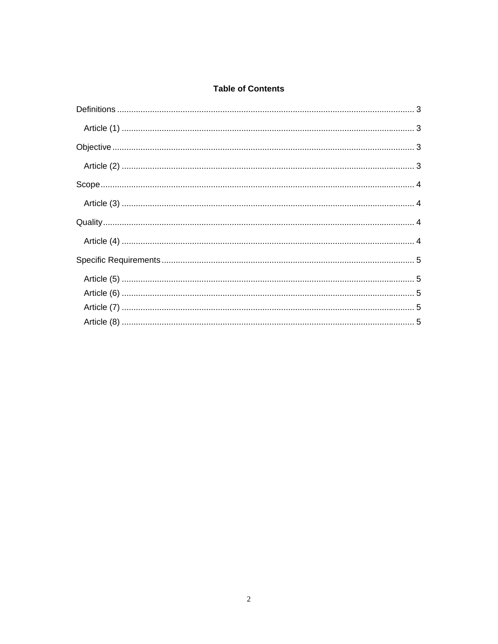# **Table of Contents**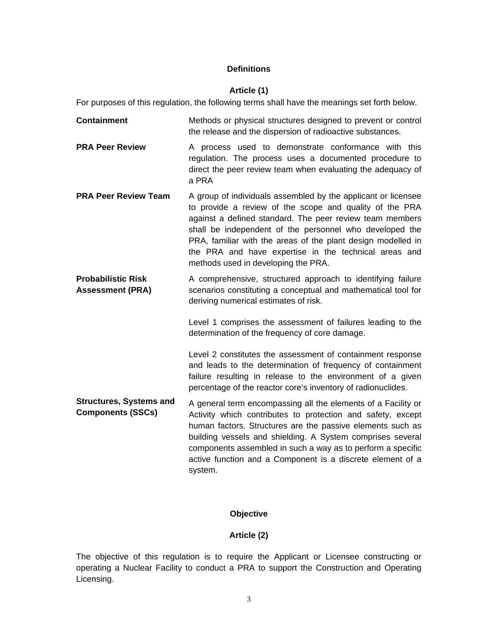# **Definitions**

#### **Article (1)**

For purposes of this regulation, the following terms shall have the meanings set forth below.

- **Containment Methods or physical structures designed to prevent or control** the release and the dispersion of radioactive substances.
- **PRA Peer Review** A process used to demonstrate conformance with this regulation. The process uses a documented procedure to direct the peer review team when evaluating the adequacy of a PRA
- **PRA Peer Review Team** A group of individuals assembled by the applicant or licensee to provide a review of the scope and quality of the PRA against a defined standard. The peer review team members shall be independent of the personnel who developed the PRA, familiar with the areas of the plant design modelled in the PRA and have expertise in the technical areas and methods used in developing the PRA.
- **Probabilistic Risk Assessment (PRA)**  A comprehensive, structured approach to identifying failure scenarios constituting a conceptual and mathematical tool for deriving numerical estimates of risk.

Level 1 comprises the assessment of failures leading to the determination of the frequency of core damage.

Level 2 constitutes the assessment of containment response and leads to the determination of frequency of containment failure resulting in release to the environment of a given percentage of the reactor core's inventory of radionuclides.

**Structures, Systems and Components (SSCs)** A general term encompassing all the elements of a Facility or Activity which contributes to protection and safety, except human factors. Structures are the passive elements such as building vessels and shielding. A System comprises several components assembled in such a way as to perform a specific active function and a Component is a discrete element of a system.

# **Objective**

#### **Article (2)**

The objective of this regulation is to require the Applicant or Licensee constructing or operating a Nuclear Facility to conduct a PRA to support the Construction and Operating Licensing.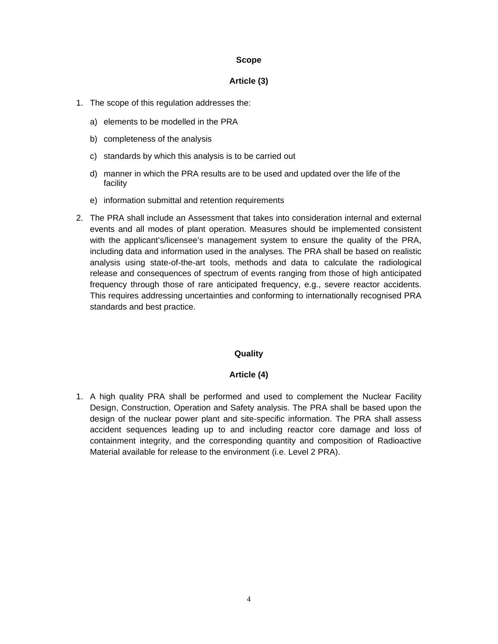#### **Scope**

#### **Article (3)**

- 1. The scope of this regulation addresses the:
	- a) elements to be modelled in the PRA
	- b) completeness of the analysis
	- c) standards by which this analysis is to be carried out
	- d) manner in which the PRA results are to be used and updated over the life of the facility
	- e) information submittal and retention requirements
- 2. The PRA shall include an Assessment that takes into consideration internal and external events and all modes of plant operation. Measures should be implemented consistent with the applicant's/licensee's management system to ensure the quality of the PRA, including data and information used in the analyses. The PRA shall be based on realistic analysis using state-of-the-art tools, methods and data to calculate the radiological release and consequences of spectrum of events ranging from those of high anticipated frequency through those of rare anticipated frequency, e.g., severe reactor accidents. This requires addressing uncertainties and conforming to internationally recognised PRA standards and best practice.

# **Quality**

# **Article (4)**

1. A high quality PRA shall be performed and used to complement the Nuclear Facility Design, Construction, Operation and Safety analysis. The PRA shall be based upon the design of the nuclear power plant and site-specific information. The PRA shall assess accident sequences leading up to and including reactor core damage and loss of containment integrity, and the corresponding quantity and composition of Radioactive Material available for release to the environment (i.e. Level 2 PRA).